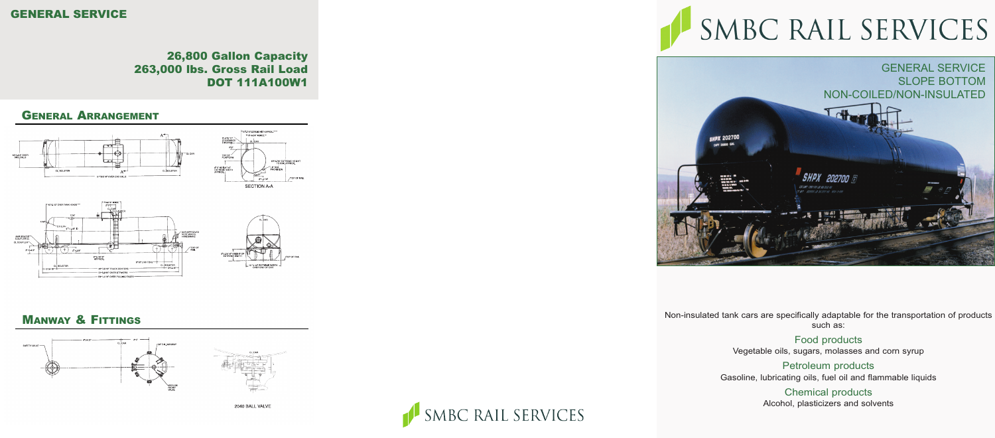

Non-insulated tank cars are specifically adaptable for the transportation of products such as:

> Food products Vegetable oils, sugars, molasses and corn syrup

Petroleum products Gasoline, lubricating oils, fuel oil and flammable liquids

> Chemical products Alcohol, plasticizers and solvents

## SMBC RAIL SERVICES

#### GENERAL SERVICE

#### 26,800 Gallon Capacity 263,000 lbs. Gross Rail Load DOT 111A100W1

#### GENERAL ARRANGEMENT



#### MANWAY & FITTINGS







# SMBC RAIL SERVICES